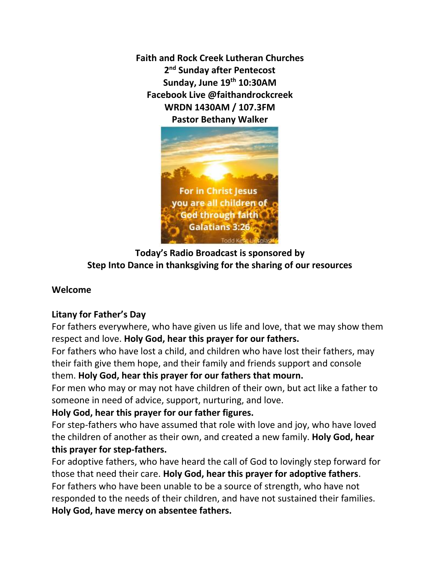**Faith and Rock Creek Lutheran Churches 2 nd Sunday after Pentecost Sunday, June 19th 10:30AM Facebook Live @faithandrockcreek WRDN 1430AM / 107.3FM Pastor Bethany Walker**



**Today's Radio Broadcast is sponsored by Step Into Dance in thanksgiving for the sharing of our resources**

# **Welcome**

## **Litany for Father's Day**

For fathers everywhere, who have given us life and love, that we may show them respect and love. **Holy God, hear this prayer for our fathers.**

For fathers who have lost a child, and children who have lost their fathers, may their faith give them hope, and their family and friends support and console them. **Holy God, hear this prayer for our fathers that mourn.**

For men who may or may not have children of their own, but act like a father to someone in need of advice, support, nurturing, and love.

## **Holy God, hear this prayer for our father figures.**

For step-fathers who have assumed that role with love and joy, who have loved the children of another as their own, and created a new family. **Holy God, hear this prayer for step-fathers.**

For adoptive fathers, who have heard the call of God to lovingly step forward for those that need their care. **Holy God, hear this prayer for adoptive fathers**. For fathers who have been unable to be a source of strength, who have not responded to the needs of their children, and have not sustained their families. **Holy God, have mercy on absentee fathers.**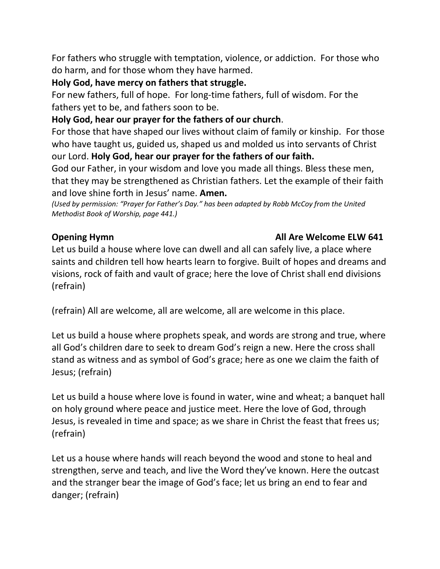For fathers who struggle with temptation, violence, or addiction. For those who do harm, and for those whom they have harmed.

## **Holy God, have mercy on fathers that struggle.**

For new fathers, full of hope. For long-time fathers, full of wisdom. For the fathers yet to be, and fathers soon to be.

# **Holy God, hear our prayer for the fathers of our church**.

For those that have shaped our lives without claim of family or kinship. For those who have taught us, guided us, shaped us and molded us into servants of Christ our Lord. **Holy God, hear our prayer for the fathers of our faith.**

God our Father, in your wisdom and love you made all things. Bless these men, that they may be strengthened as Christian fathers. Let the example of their faith and love shine forth in Jesus' name. **Amen.**

*(Used by permission: "Prayer for Father's Day." has been adapted by Robb McCoy from the United Methodist Book of Worship, page 441.)*

# **Opening Hymn Contract Contract Contract Contract Contract Contract Contract Contract Contract Contract Contract Contract Contract Contract Contract Contract Contract Contract Contract Contract Contract Contract Contract**

Let us build a house where love can dwell and all can safely live, a place where saints and children tell how hearts learn to forgive. Built of hopes and dreams and visions, rock of faith and vault of grace; here the love of Christ shall end divisions (refrain)

(refrain) All are welcome, all are welcome, all are welcome in this place.

Let us build a house where prophets speak, and words are strong and true, where all God's children dare to seek to dream God's reign a new. Here the cross shall stand as witness and as symbol of God's grace; here as one we claim the faith of Jesus; (refrain)

Let us build a house where love is found in water, wine and wheat; a banquet hall on holy ground where peace and justice meet. Here the love of God, through Jesus, is revealed in time and space; as we share in Christ the feast that frees us; (refrain)

Let us a house where hands will reach beyond the wood and stone to heal and strengthen, serve and teach, and live the Word they've known. Here the outcast and the stranger bear the image of God's face; let us bring an end to fear and danger; (refrain)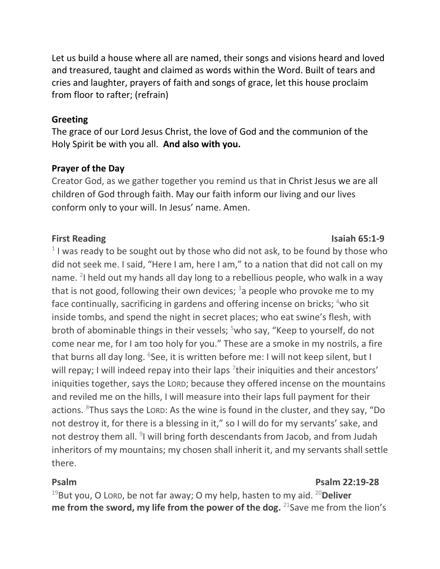Let us build a house where all are named, their songs and visions heard and loved and treasured, taught and claimed as words within the Word. Built of tears and cries and laughter, prayers of faith and songs of grace, let this house proclaim from floor to rafter; (refrain)

#### **Greeting**

The grace of our Lord Jesus Christ, the love of God and the communion of the Holy Spirit be with you all. **And also with you.** 

#### **Prayer of the Day**

Creator God, as we gather together you remind us that in Christ Jesus we are all children of God through faith. May our faith inform our living and our lives conform only to your will. In Jesus' name. Amen.

#### **First Reading Isaiah 65:1-9**

 $1$  I was ready to be sought out by those who did not ask, to be found by those who did not seek me. I said, "Here I am, here I am," to a nation that did not call on my name. <sup>2</sup>I held out my hands all day long to a rebellious people, who walk in a way that is not good, following their own devices;  $3a$  people who provoke me to my face continually, sacrificing in gardens and offering incense on bricks;  $4$ who sit inside tombs, and spend the night in secret places; who eat swine's flesh, with broth of abominable things in their vessels; <sup>5</sup>who say, "Keep to yourself, do not come near me, for I am too holy for you." These are a smoke in my nostrils, a fire that burns all day long. <sup>6</sup>See, it is written before me: I will not keep silent, but I will repay; I will indeed repay into their laps  $\frac{1}{2}$  their iniquities and their ancestors' iniquities together, says the LORD; because they offered incense on the mountains and reviled me on the hills, I will measure into their laps full payment for their actions. <sup>8</sup>Thus says the LORD: As the wine is found in the cluster, and they say, "Do not destroy it, for there is a blessing in it," so I will do for my servants' sake, and not destroy them all. <sup>9</sup>I will bring forth descendants from Jacob, and from Judah inheritors of my mountains; my chosen shall inherit it, and my servants shall settle there.

#### **Psalm Psalm 22:19-28**

<sup>19</sup>But you, O LORD, be not far away; O my help, hasten to my aid. <sup>20</sup>**Deliver me from the sword, my life from the power of the dog.** <sup>21</sup> Save me from the lion's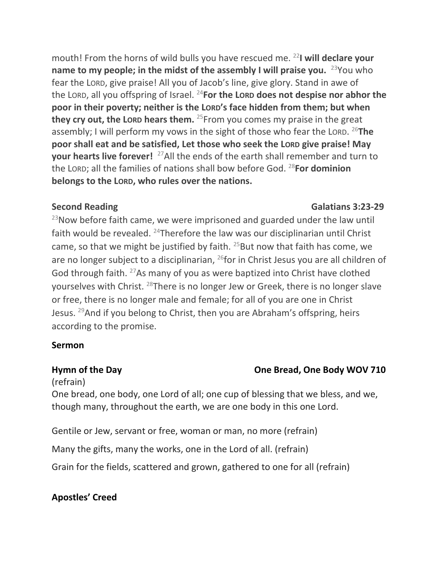mouth! From the horns of wild bulls you have rescued me. <sup>22</sup>**I will declare your name to my people; in the midst of the assembly I will praise you.** <sup>23</sup>You who fear the LORD, give praise! All you of Jacob's line, give glory. Stand in awe of the LORD, all you offspring of Israel. <sup>24</sup>**For the LORD does not despise nor abhor the poor in their poverty; neither is the LORD's face hidden from them; but when they cry out, the Lorp hears them.** <sup>25</sup> From you comes my praise in the great assembly; I will perform my vows in the sight of those who fear the LORD. <sup>26</sup>**The poor shall eat and be satisfied, Let those who seek the LORD give praise! May your hearts live forever!** <sup>27</sup>All the ends of the earth shall remember and turn to the LORD; all the families of nations shall bow before God. <sup>28</sup>**For dominion belongs to the LORD, who rules over the nations.**

## **Second Reading Calatians 3:23-29**

 $23$ Now before faith came, we were imprisoned and guarded under the law until faith would be revealed. <sup>24</sup>Therefore the law was our disciplinarian until Christ came, so that we might be justified by faith.  $25$ But now that faith has come, we are no longer subject to a disciplinarian, <sup>26</sup>for in Christ Jesus you are all children of God through faith. <sup>27</sup>As many of you as were baptized into Christ have clothed yourselves with Christ. <sup>28</sup>There is no longer Jew or Greek, there is no longer slave or free, there is no longer male and female; for all of you are one in Christ Jesus.  $^{29}$ And if you belong to Christ, then you are Abraham's offspring, heirs according to the promise.

# **Sermon**

# **Hymn of the Day Cone Bread, One Body WOV 710**

(refrain)

One bread, one body, one Lord of all; one cup of blessing that we bless, and we, though many, throughout the earth, we are one body in this one Lord.

Gentile or Jew, servant or free, woman or man, no more (refrain)

Many the gifts, many the works, one in the Lord of all. (refrain)

Grain for the fields, scattered and grown, gathered to one for all (refrain)

# **Apostles' Creed**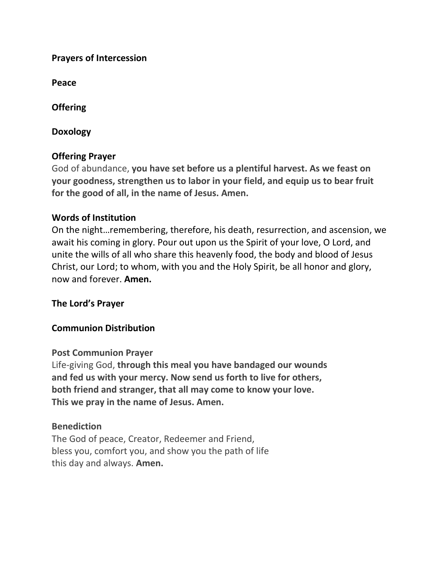### **Prayers of Intercession**

**Peace**

**Offering** 

**Doxology**

## **Offering Prayer**

God of abundance, **you have set before us a plentiful harvest. As we feast on your goodness, strengthen us to labor in your field, and equip us to bear fruit for the good of all, in the name of Jesus. Amen.**

### **Words of Institution**

On the night…remembering, therefore, his death, resurrection, and ascension, we await his coming in glory. Pour out upon us the Spirit of your love, O Lord, and unite the wills of all who share this heavenly food, the body and blood of Jesus Christ, our Lord; to whom, with you and the Holy Spirit, be all honor and glory, now and forever. **Amen.**

## **The Lord's Prayer**

## **Communion Distribution**

### **Post Communion Prayer**

Life-giving God, **through this meal you have bandaged our wounds and fed us with your mercy. Now send us forth to live for others, both friend and stranger, that all may come to know your love. This we pray in the name of Jesus. Amen.**

### **Benediction**

The God of peace, Creator, Redeemer and Friend, bless you, comfort you, and show you the path of life this day and always. **Amen.**